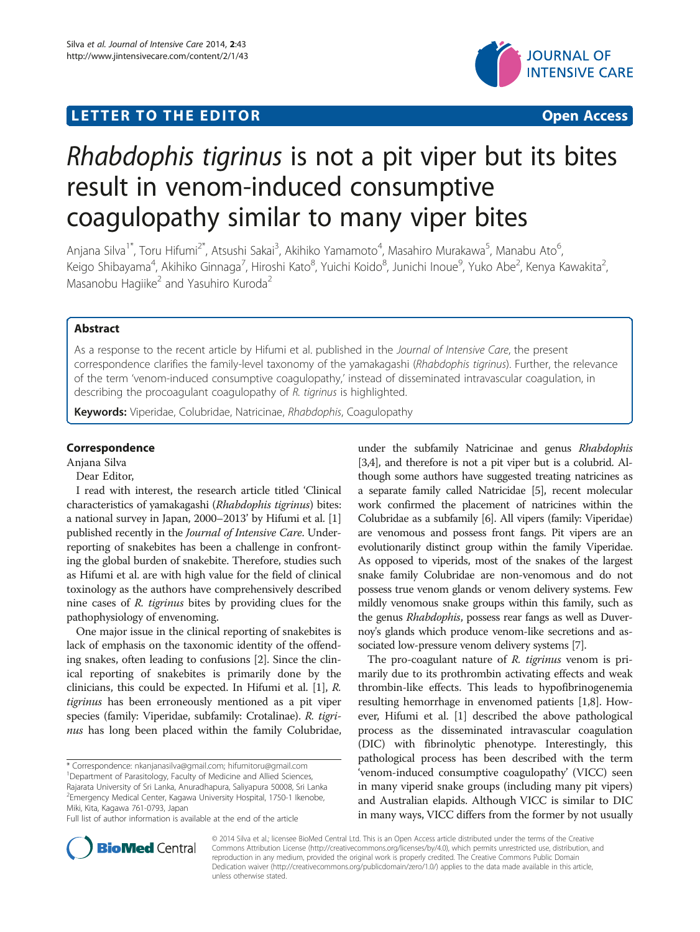## LETTER TO THE EDITOR **CONSIDERING A CONSIDERATION**



# Rhabdophis tigrinus is not a pit viper but its bites result in venom-induced consumptive coagulopathy similar to many viper bites

Anjana Silva<sup>1\*</sup>, Toru Hifumi<sup>2\*</sup>, Atsushi Sakai<sup>3</sup>, Akihiko Yamamoto<sup>4</sup>, Masahiro Murakawa<sup>5</sup>, Manabu Ato<sup>6</sup> י<br>, Keigo Shibayama<sup>4</sup>, Akihiko Ginnaga<sup>7</sup>, Hiroshi Kato<sup>8</sup>, Yuichi Koido<sup>8</sup>, Junichi Inoue<sup>9</sup>, Yuko Abe<sup>2</sup>, Kenya Kawakita<sup>2</sup> , Masanobu Hagiike<sup>2</sup> and Yasuhiro Kuroda<sup>2</sup>

## Abstract

As a response to the recent article by Hifumi et al. published in the Journal of Intensive Care, the present correspondence clarifies the family-level taxonomy of the yamakagashi (Rhabdophis tigrinus). Further, the relevance of the term 'venom-induced consumptive coagulopathy,' instead of disseminated intravascular coagulation, in describing the procoagulant coagulopathy of R. tigrinus is highlighted.

Keywords: Viperidae, Colubridae, Natricinae, Rhabdophis, Coagulopathy

## Correspondence

Anjana Silva

## Dear Editor,

I read with interest, the research article titled 'Clinical characteristics of yamakagashi (Rhabdophis tigrinus) bites: a national survey in Japan, 2000–2013' by Hifumi et al. [[1](#page-2-0)] published recently in the Journal of Intensive Care. Underreporting of snakebites has been a challenge in confronting the global burden of snakebite. Therefore, studies such as Hifumi et al. are with high value for the field of clinical toxinology as the authors have comprehensively described nine cases of R. tigrinus bites by providing clues for the pathophysiology of envenoming.

One major issue in the clinical reporting of snakebites is lack of emphasis on the taxonomic identity of the offending snakes, often leading to confusions [\[2](#page-2-0)]. Since the clinical reporting of snakebites is primarily done by the clinicians, this could be expected. In Hifumi et al. [\[1\]](#page-2-0), R. tigrinus has been erroneously mentioned as a pit viper species (family: Viperidae, subfamily: Crotalinae). R. tigrinus has long been placed within the family Colubridae,

\* Correspondence: [nkanjanasilva@gmail.com](mailto:nkanjanasilva@gmail.com); [hifumitoru@gmail.com](mailto:hifumitoru@gmail.com) <sup>1</sup> <sup>1</sup>Department of Parasitology, Faculty of Medicine and Allied Sciences, Rajarata University of Sri Lanka, Anuradhapura, Saliyapura 50008, Sri Lanka <sup>2</sup> Emergency Medical Center, Kagawa University Hospital, 1750-1 Ikenobe, Miki, Kita, Kagawa 761-0793, Japan

under the subfamily Natricinae and genus Rhabdophis [[3,4](#page-2-0)], and therefore is not a pit viper but is a colubrid. Although some authors have suggested treating natricines as a separate family called Natricidae [\[5](#page-2-0)], recent molecular work confirmed the placement of natricines within the Colubridae as a subfamily [[6](#page-2-0)]. All vipers (family: Viperidae) are venomous and possess front fangs. Pit vipers are an evolutionarily distinct group within the family Viperidae. As opposed to viperids, most of the snakes of the largest snake family Colubridae are non-venomous and do not possess true venom glands or venom delivery systems. Few mildly venomous snake groups within this family, such as the genus Rhabdophis, possess rear fangs as well as Duvernoy's glands which produce venom-like secretions and associated low-pressure venom delivery systems [[7](#page-2-0)].

The pro-coagulant nature of R. tigrinus venom is primarily due to its prothrombin activating effects and weak thrombin-like effects. This leads to hypofibrinogenemia resulting hemorrhage in envenomed patients [\[1,8\]](#page-2-0). However, Hifumi et al. [[1](#page-2-0)] described the above pathological process as the disseminated intravascular coagulation (DIC) with fibrinolytic phenotype. Interestingly, this pathological process has been described with the term 'venom-induced consumptive coagulopathy' (VICC) seen in many viperid snake groups (including many pit vipers) and Australian elapids. Although VICC is similar to DIC in many ways, VICC differs from the former by not usually



© 2014 Silva et al.; licensee BioMed Central Ltd. This is an Open Access article distributed under the terms of the Creative Commons Attribution License [\(http://creativecommons.org/licenses/by/4.0\)](http://creativecommons.org/licenses/by/4.0), which permits unrestricted use, distribution, and reproduction in any medium, provided the original work is properly credited. The Creative Commons Public Domain Dedication waiver [\(http://creativecommons.org/publicdomain/zero/1.0/](http://creativecommons.org/publicdomain/zero/1.0/)) applies to the data made available in this article, unless otherwise stated.

Full list of author information is available at the end of the article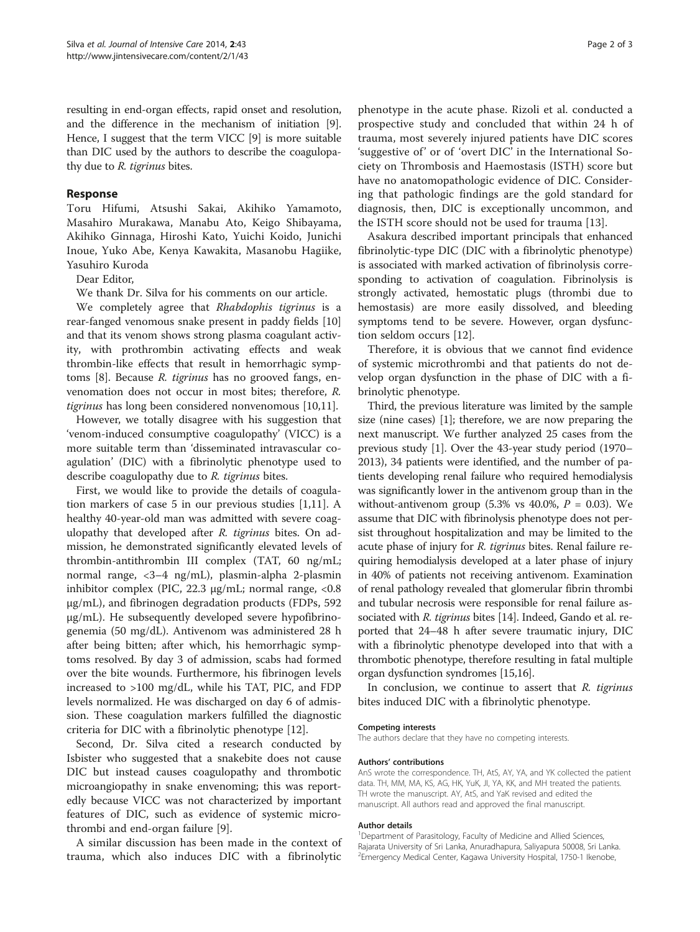resulting in end-organ effects, rapid onset and resolution, and the difference in the mechanism of initiation [[9](#page-2-0)]. Hence, I suggest that the term VICC [\[9](#page-2-0)] is more suitable than DIC used by the authors to describe the coagulopathy due to R. tigrinus bites.

### Response

Toru Hifumi, Atsushi Sakai, Akihiko Yamamoto, Masahiro Murakawa, Manabu Ato, Keigo Shibayama, Akihiko Ginnaga, Hiroshi Kato, Yuichi Koido, Junichi Inoue, Yuko Abe, Kenya Kawakita, Masanobu Hagiike, Yasuhiro Kuroda

Dear Editor,

We thank Dr. Silva for his comments on our article.

We completely agree that Rhabdophis tigrinus is a rear-fanged venomous snake present in paddy fields [[10](#page-2-0)] and that its venom shows strong plasma coagulant activity, with prothrombin activating effects and weak thrombin-like effects that result in hemorrhagic symptoms [\[8\]](#page-2-0). Because R. tigrinus has no grooved fangs, envenomation does not occur in most bites; therefore, R. tigrinus has long been considered nonvenomous [[10,11\]](#page-2-0).

However, we totally disagree with his suggestion that 'venom-induced consumptive coagulopathy' (VICC) is a more suitable term than 'disseminated intravascular coagulation' (DIC) with a fibrinolytic phenotype used to describe coagulopathy due to R. tigrinus bites.

First, we would like to provide the details of coagulation markers of case 5 in our previous studies [[1,11\]](#page-2-0). A healthy 40-year-old man was admitted with severe coagulopathy that developed after R. tigrinus bites. On admission, he demonstrated significantly elevated levels of thrombin-antithrombin III complex (TAT, 60 ng/mL; normal range, <3–4 ng/mL), plasmin-alpha 2-plasmin inhibitor complex (PIC, 22.3  $\mu$ g/mL; normal range, <0.8 μg/mL), and fibrinogen degradation products (FDPs, 592 μg/mL). He subsequently developed severe hypofibrinogenemia (50 mg/dL). Antivenom was administered 28 h after being bitten; after which, his hemorrhagic symptoms resolved. By day 3 of admission, scabs had formed over the bite wounds. Furthermore, his fibrinogen levels increased to >100 mg/dL, while his TAT, PIC, and FDP levels normalized. He was discharged on day 6 of admission. These coagulation markers fulfilled the diagnostic criteria for DIC with a fibrinolytic phenotype [\[12](#page-2-0)].

Second, Dr. Silva cited a research conducted by Isbister who suggested that a snakebite does not cause DIC but instead causes coagulopathy and thrombotic microangiopathy in snake envenoming; this was reportedly because VICC was not characterized by important features of DIC, such as evidence of systemic microthrombi and end-organ failure [\[9](#page-2-0)].

A similar discussion has been made in the context of trauma, which also induces DIC with a fibrinolytic

phenotype in the acute phase. Rizoli et al. conducted a prospective study and concluded that within 24 h of trauma, most severely injured patients have DIC scores 'suggestive of' or of 'overt DIC' in the International Society on Thrombosis and Haemostasis (ISTH) score but have no anatomopathologic evidence of DIC. Considering that pathologic findings are the gold standard for diagnosis, then, DIC is exceptionally uncommon, and the ISTH score should not be used for trauma [[13\]](#page-2-0).

Asakura described important principals that enhanced fibrinolytic-type DIC (DIC with a fibrinolytic phenotype) is associated with marked activation of fibrinolysis corresponding to activation of coagulation. Fibrinolysis is strongly activated, hemostatic plugs (thrombi due to hemostasis) are more easily dissolved, and bleeding symptoms tend to be severe. However, organ dysfunction seldom occurs [[12\]](#page-2-0).

Therefore, it is obvious that we cannot find evidence of systemic microthrombi and that patients do not develop organ dysfunction in the phase of DIC with a fibrinolytic phenotype.

Third, the previous literature was limited by the sample size (nine cases) [\[1](#page-2-0)]; therefore, we are now preparing the next manuscript. We further analyzed 25 cases from the previous study [\[1](#page-2-0)]. Over the 43-year study period (1970– 2013), 34 patients were identified, and the number of patients developing renal failure who required hemodialysis was significantly lower in the antivenom group than in the without-antivenom group  $(5.3\% \text{ vs } 40.0\%, P = 0.03)$ . We assume that DIC with fibrinolysis phenotype does not persist throughout hospitalization and may be limited to the acute phase of injury for R. tigrinus bites. Renal failure requiring hemodialysis developed at a later phase of injury in 40% of patients not receiving antivenom. Examination of renal pathology revealed that glomerular fibrin thrombi and tubular necrosis were responsible for renal failure as-sociated with R. tigrinus bites [[14\]](#page-2-0). Indeed, Gando et al. reported that 24–48 h after severe traumatic injury, DIC with a fibrinolytic phenotype developed into that with a thrombotic phenotype, therefore resulting in fatal multiple organ dysfunction syndromes [\[15,16\]](#page-2-0).

In conclusion, we continue to assert that  $R$ . tigrinus bites induced DIC with a fibrinolytic phenotype.

#### Competing interests

The authors declare that they have no competing interests.

#### Authors' contributions

AnS wrote the correspondence. TH, AtS, AY, YA, and YK collected the patient data. TH, MM, MA, KS, AG, HK, YuK, JI, YA, KK, and MH treated the patients. TH wrote the manuscript. AY, AtS, and YaK revised and edited the manuscript. All authors read and approved the final manuscript.

#### Author details

<sup>1</sup>Department of Parasitology, Faculty of Medicine and Allied Sciences, Rajarata University of Sri Lanka, Anuradhapura, Saliyapura 50008, Sri Lanka. <sup>2</sup>Emergency Medical Center, Kagawa University Hospital, 1750-1 Ikenobe